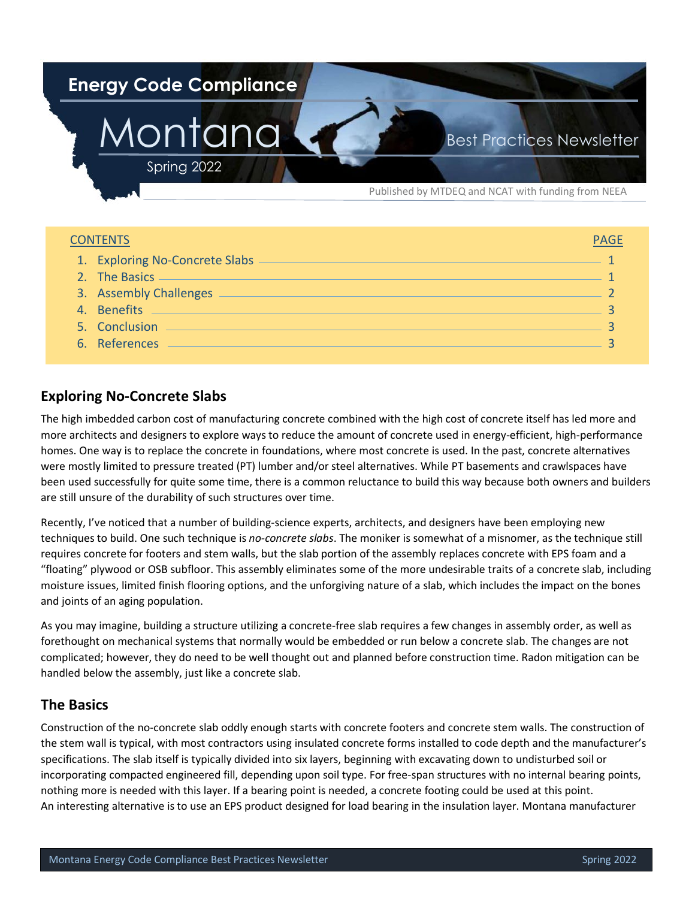

| <b>CONTENTS</b>                | <b>PAGE</b> |
|--------------------------------|-------------|
| 1. Exploring No-Concrete Slabs |             |
|                                |             |
| 3. Assembly Challenges         |             |
| 4. Benefits                    |             |
| 5. Conclusion                  |             |
| 6. References                  |             |

# **Exploring No-Concrete Slabs**

The high imbedded carbon cost of manufacturing concrete combined with the high cost of concrete itself has led more and more architects and designers to explore ways to reduce the amount of concrete used in energy-efficient, high-performance homes. One way is to replace the concrete in foundations, where most concrete is used. In the past, concrete alternatives were mostly limited to pressure treated (PT) lumber and/or steel alternatives. While PT basements and crawlspaces have been used successfully for quite some time, there is a common reluctance to build this way because both owners and builders are still unsure of the durability of such structures over time.

Recently, I've noticed that a number of building-science experts, architects, and designers have been employing new techniques to build. One such technique is *no-concrete slabs*. The moniker is somewhat of a misnomer, as the technique still requires concrete for footers and stem walls, but the slab portion of the assembly replaces concrete with EPS foam and a "floating" plywood or OSB subfloor. This assembly eliminates some of the more undesirable traits of a concrete slab, including moisture issues, limited finish flooring options, and the unforgiving nature of a slab, which includes the impact on the bones and joints of an aging population.

As you may imagine, building a structure utilizing a concrete-free slab requires a few changes in assembly order, as well as forethought on mechanical systems that normally would be embedded or run below a concrete slab. The changes are not complicated; however, they do need to be well thought out and planned before construction time. Radon mitigation can be handled below the assembly, just like a concrete slab.

## **The Basics**

Construction of the no-concrete slab oddly enough starts with concrete footers and concrete stem walls. The construction of the stem wall is typical, with most contractors using insulated concrete forms installed to code depth and the manufacturer's specifications. The slab itself is typically divided into six layers, beginning with excavating down to undisturbed soil or incorporating compacted engineered fill, depending upon soil type. For free-span structures with no internal bearing points, nothing more is needed with this layer. If a bearing point is needed, a concrete footing could be used at this point. An interesting alternative is to use an EPS product designed for load bearing in the insulation layer. Montana manufacturer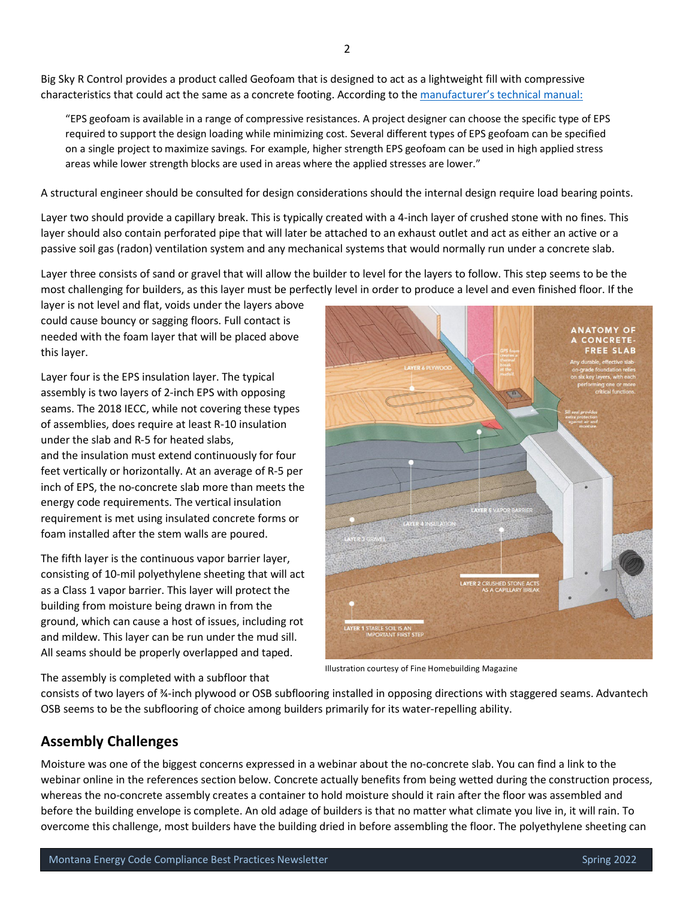<span id="page-1-0"></span>Big Sky R Control provides a product called Geofoam that is designed to act as a lightweight fill with compressive characteristics that could act the same as a concrete footing. According to th[e manufacturer's technical manual:](https://www.geofoam.com/?pdf=EPS-Geofoam-Applications-Technical-Data.pdf&id=968)

"EPS geofoam is available in a range of compressive resistances. A project designer can choose the specific type of EPS required to support the design loading while minimizing cost. Several different types of EPS geofoam can be specified on a single project to maximize savings. For example, higher strength EPS geofoam can be used in high applied stress areas while lower strength blocks are used in areas where the applied stresses are lower."

A structural engineer should be consulted for design considerations should the internal design require load bearing points.

Layer two should provide a capillary break. This is typically created with a 4-inch layer of crushed stone with no fines. This layer should also contain perforated pipe that will later be attached to an exhaust outlet and act as either an active or a passive soil gas (radon) ventilation system and any mechanical systems that would normally run under a concrete slab.

Layer three consists of sand or gravel that will allow the builder to level for the layers to follow. This step seems to be the most challenging for builders, as this layer must be perfectly level in order to produce a level and even finished floor. If the

layer is not level and flat, voids under the layers above could cause bouncy or sagging floors. Full contact is needed with the foam layer that will be placed above this layer.

Layer four is the EPS insulation layer. The typical assembly is two layers of 2-inch EPS with opposing seams. The 2018 IECC, while not covering these types of assemblies, does require at least R-10 insulation under the slab and R-5 for heated slabs, and the insulation must extend continuously for four feet vertically or horizontally. At an average of R-5 per inch of EPS, the no-concrete slab more than meets the energy code requirements. The vertical insulation requirement is met using insulated concrete forms or foam installed after the stem walls are poured.

The fifth layer is the continuous vapor barrier layer, consisting of 10-mil polyethylene sheeting that will act as a Class 1 vapor barrier. This layer will protect the building from moisture being drawn in from the ground, which can cause a host of issues, including rot and mildew. This layer can be run under the mud sill. All seams should be properly overlapped and taped.



Illustration courtesy of Fine Homebuilding Magazine

The assembly is completed with a subfloor that

consists of two layers of ¾-inch plywood or OSB subflooring installed in opposing directions with staggered seams. Advantech OSB seems to be the subflooring of choice among builders primarily for its water-repelling ability.

#### **Assembly Challenges**

Moisture was one of the biggest concerns expressed in a webinar about the no-concrete slab. You can find a link to the webinar online in the references section below. Concrete actually benefits from being wetted during the construction process, whereas the no-concrete assembly creates a container to hold moisture should it rain after the floor was assembled and before the building envelope is complete. An old adage of builders is that no matter what climate you live in, it will rain. To overcome this challenge, most builders have the building dried in before assembling the floor. The polyethylene sheeting can